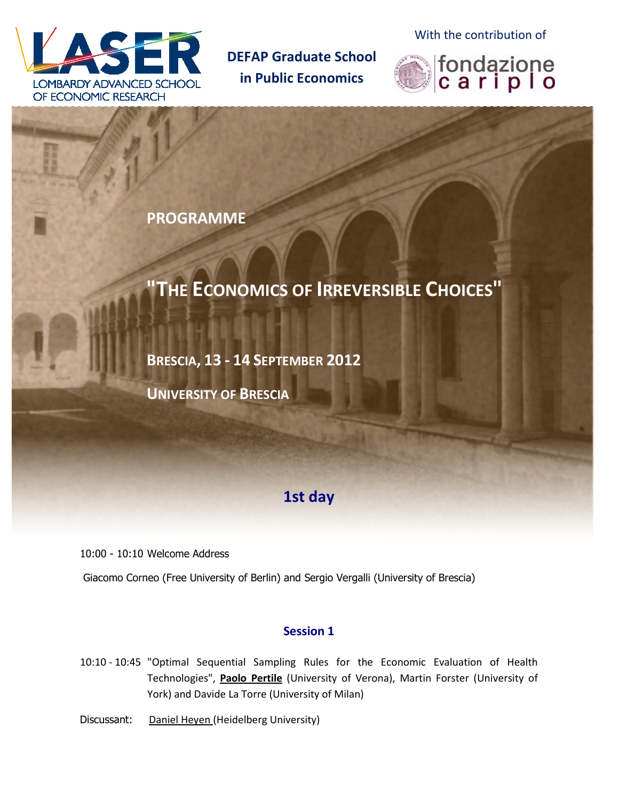

**DEFAP Graduate School in Public Economics** 

With the contribution of



**PROGRAMME** 

# **"THE ECONOMICS OF IRREVERSIBLE CHOICES"**

**BRESCIA, 13 - 14 SEPTEMBER 2012** 

**UNIVERSITY OF BRESCIA**

## **1st day**

10:00 - 10:10 Welcome Address

Giacomo Corneo (Free University of Berlin) and Sergio Vergalli (University of Brescia)

### **Session 1**

10:10 - 10:45 "Optimal Sequential Sampling Rules for the Economic Evaluation of Health Technologies", **Paolo Pertile** (University of Verona), Martin Forster (University of York) and Davide La Torre (University of Milan)

Discussant: Daniel Heyen (Heidelberg University)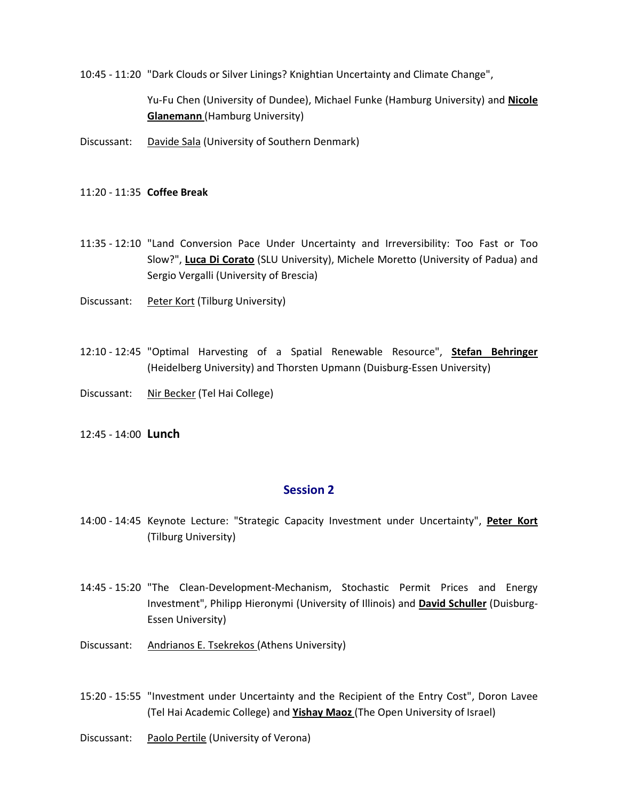10:45 - 11:20 "Dark Clouds or Silver Linings? Knightian Uncertainty and Climate Change",

Yu-Fu Chen (University of Dundee), Michael Funke (Hamburg University) and **Nicole Glanemann** (Hamburg University)

- Discussant: Davide Sala (University of Southern Denmark)
- 11:20 11:35 **Coffee Break**
- 11:35 12:10 "Land Conversion Pace Under Uncertainty and Irreversibility: Too Fast or Too Slow?", **Luca Di Corato** (SLU University), Michele Moretto (University of Padua) and Sergio Vergalli (University of Brescia)
- Discussant: Peter Kort (Tilburg University)
- 12:10 12:45 "Optimal Harvesting of a Spatial Renewable Resource", **Stefan Behringer** (Heidelberg University) and Thorsten Upmann (Duisburg-Essen University)
- Discussant: Nir Becker (Tel Hai College)
- 12:45 14:00 **Lunch**

#### **Session 2**

- 14:00 14:45 Keynote Lecture: "Strategic Capacity Investment under Uncertainty", **Peter Kort** (Tilburg University)
- 14:45 15:20 "The Clean-Development-Mechanism, Stochastic Permit Prices and Energy Investment", Philipp Hieronymi (University of Illinois) and **David Schuller** (Duisburg-Essen University)
- Discussant: Andrianos E. Tsekrekos (Athens University)
- 15:20 15:55 "Investment under Uncertainty and the Recipient of the Entry Cost", Doron Lavee (Tel Hai Academic College) and **Yishay Maoz** (The Open University of Israel)
- Discussant: Paolo Pertile (University of Verona)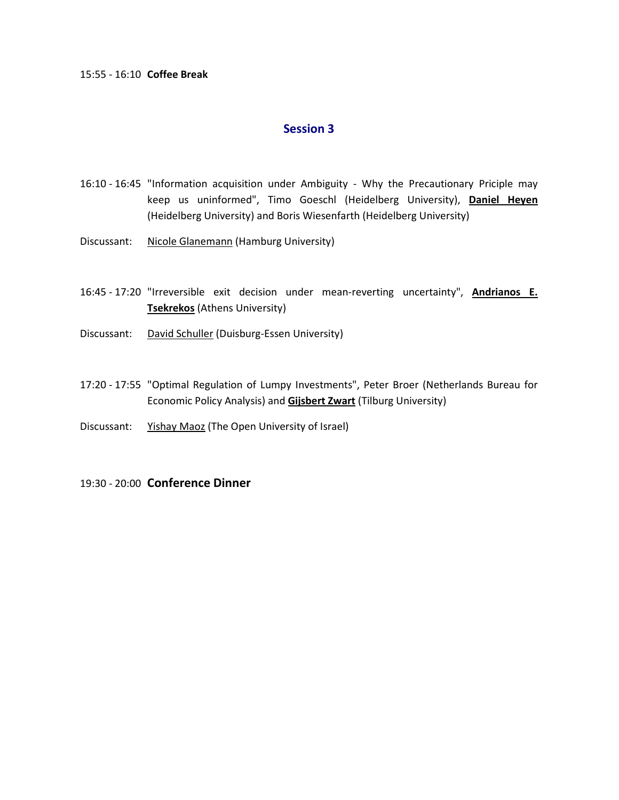#### 15:55 - 16:10 **Coffee Break**

#### **Session 3**

- 16:10 16:45 "Information acquisition under Ambiguity Why the Precautionary Priciple may keep us uninformed", Timo Goeschl (Heidelberg University), **Daniel Heyen** (Heidelberg University) and Boris Wiesenfarth (Heidelberg University)
- Discussant: Nicole Glanemann (Hamburg University)
- 16:45 17:20 "Irreversible exit decision under mean-reverting uncertainty", **Andrianos E. Tsekrekos** (Athens University)
- Discussant: David Schuller (Duisburg-Essen University)
- 17:20 17:55 "Optimal Regulation of Lumpy Investments", Peter Broer (Netherlands Bureau for Economic Policy Analysis) and **Gijsbert Zwart** (Tilburg University)
- Discussant: Yishay Maoz (The Open University of Israel)
- 19:30 20:00 **Conference Dinner**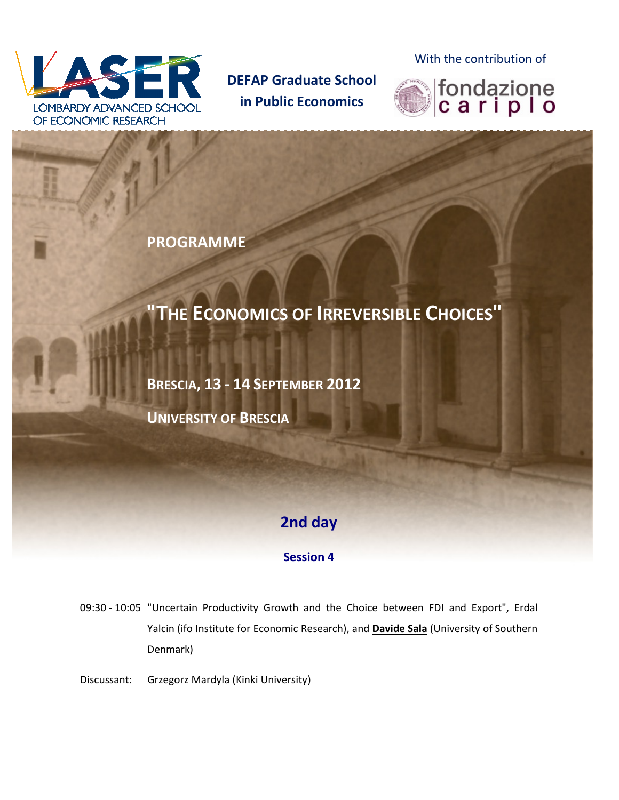

**DEFAP Graduate School in Public Economics** 

With the contribution of



**PROGRAMME** 

# **"THE ECONOMICS OF IRREVERSIBLE CHOICES"**

**BRESCIA, 13 - 14 SEPTEMBER 2012** 

**UNIVERSITY OF BRESCIA**

## **2nd day**

### **Session 4**

09:30 - 10:05 "Uncertain Productivity Growth and the Choice between FDI and Export", Erdal Yalcin (ifo Institute for Economic Research), and **Davide Sala** (University of Southern Denmark)

Discussant: Grzegorz Mardyla (Kinki University)